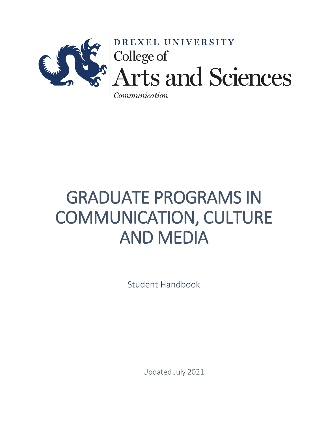

 $\n *Communication*\n$ 

# GRADUATE PROGRAMS IN COMMUNICATION, CULTURE AND MEDIA

Student Handbook

Updated July 2021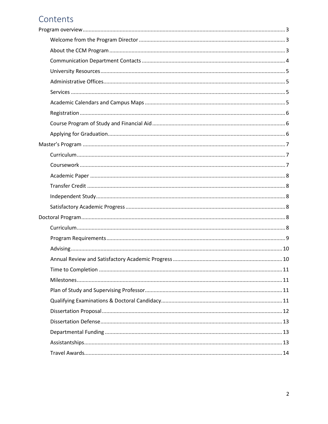# Contents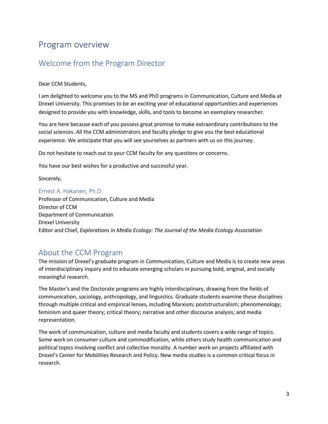# <span id="page-2-0"></span>Program overview

## <span id="page-2-1"></span>Welcome from the Program Director

Dear CCM Students,

I am delighted to welcome you to the MS and PhD programs in Communication, Culture and Media at Drexel University. This promises to be an exciting year of educational opportunities and experiences designed to provide you with knowledge, skills, and tools to become an exemplary researcher.

You are here because each of you possess great promise to make extraordinary contributions to the social sciences. All the CCM administrators and faculty pledge to give you the best educational experience. We anticipate that you will see yourselves as partners with us on this journey.

Do not hesitate to reach out to your CCM faculty for any questions or concerns.

You have our best wishes for a productive and successful year.

Sincerely,

#### Ernest A. Hakanen, Ph.D.

Professor of Communication, Culture and Media Director of CCM Department of Communication Drexel University Editor and Chief, *Explorations in Media Ecology: The Journal of the Media Ecology Association*

## <span id="page-2-2"></span>About the CCM Program

The mission of Drexel's graduate program in Communication, Culture and Media is to create new areas of interdisciplinary inquiry and to educate emerging scholars in pursuing bold, original, and socially meaningful research.

The Master's and the Doctorate programs are highly interdisciplinary, drawing from the fields of communication, sociology, anthropology, and linguistics. Graduate students examine these disciplines through multiple critical and empirical lenses, including Marxism; poststructuralism; phenomenology; feminism and queer theory; critical theory; narrative and other discourse analysis; and media representation.

The work of communication, culture and media faculty and students covers a wide range of topics. Some work on consumer culture and commodification, while others study health communication and political topics involving conflict and collective morality. A number work on projects affiliated with Drexel's Center for Mobilities Research and Policy. New media studies is a common critical focus in research.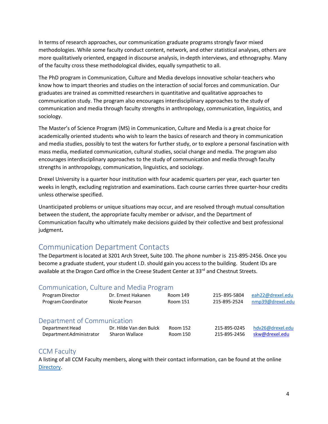In terms of research approaches, our communication graduate programs strongly favor mixed methodologies. While some faculty conduct content, network, and other statistical analyses, others are more qualitatively oriented, engaged in discourse analysis, in-depth interviews, and ethnography. Many of the faculty cross these methodological divides, equally sympathetic to all.

The PhD program in Communication, Culture and Media develops innovative scholar-teachers who know how to impart theories and studies on the interaction of social forces and communication. Our graduates are trained as committed researchers in quantitative and qualitative approaches to communication study. The program also encourages interdisciplinary approaches to the study of communication and media through faculty strengths in anthropology, communication, linguistics, and sociology.

The Master's of Science Program (MS) in Communication, Culture and Media is a great choice for academically oriented students who wish to learn the basics of research and theory in communication and media studies, possibly to test the waters for further study, or to explore a personal fascination with mass media, mediated communication, cultural studies, social change and media. The program also encourages interdisciplinary approaches to the study of communication and media through faculty strengths in anthropology, communication, linguistics, and sociology.

Drexel University is a quarter hour institution with four academic quarters per year, each quarter ten weeks in length, excluding registration and examinations. Each course carries three quarter-hour credits unless otherwise specified.

Unanticipated problems or unique situations may occur, and are resolved through mutual consultation between the student, the appropriate faculty member or advisor, and the Department of Communication faculty who ultimately make decisions guided by their collective and best professional judgment**.**

## <span id="page-3-0"></span>Communication Department Contacts

The Department is located at 3201 Arch Street, Suite 100. The phone number is 215-895-2456. Once you become a graduate student, your student I.D. should gain you access to the building. Student IDs are available at the Dragon Card office in the Creese Student Center at 33<sup>rd</sup> and Chestnut Streets.

#### Communication, Culture and Media Program

| Program Director            | Dr. Ernest Hakanen      | Room 149 | 215-895-5804 | eah22@drexel.edu |
|-----------------------------|-------------------------|----------|--------------|------------------|
| Program Coordinator         | Nicole Pearson          | Room 151 | 215-895-2524 | nmp39@drexel.edu |
| Department of Communication |                         |          |              |                  |
| Department Head             | Dr. Hilde Van den Bulck | Room 152 | 215-895-0245 | hdv26@drexel.edu |
| Department Administrator    | Sharon Wallace          | Room 150 | 215-895-2456 | skw@drexel.edu   |

#### CCM Faculty

A listing of all CCM Faculty members, along with their contact information, can be found at the online [Directory.](https://drexel.edu/coas/academics/graduate-programs/communication-culture-media/ccm-faculty/)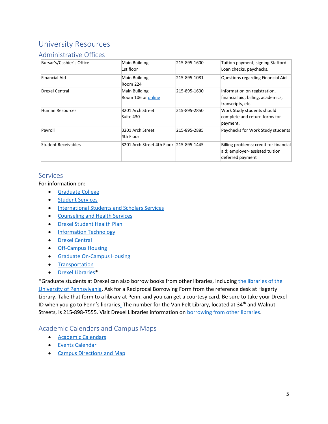## <span id="page-4-0"></span>University Resources

#### <span id="page-4-1"></span>Administrative Offices

| Bursar's/Cashier's Office | Main Building<br>1st floor              | 215-895-1600 | Tuition payment, signing Stafford<br>Loan checks, paychecks.                                  |
|---------------------------|-----------------------------------------|--------------|-----------------------------------------------------------------------------------------------|
| Financial Aid             | Main Building<br>Room 224               | 215-895-1081 | Questions regarding Financial Aid                                                             |
| Drexel Central            | Main Building<br>Room 106 or online     | 215-895-1600 | Information on registration,<br>financial aid, billing, academics,<br>transcripts, etc.       |
| Human Resources           | 3201 Arch Street<br>Suite 430           | 215-895-2850 | Work Study students should<br>complete and return forms for<br>payment.                       |
| Payroll                   | 3201 Arch Street<br>4th Floor           | 215-895-2885 | Paychecks for Work Study students                                                             |
| Student Receivables       | 3201 Arch Street 4th Floor 215-895-1445 |              | Billing problems; credit for financial<br>aid; employer- assisted tuition<br>deferred payment |

#### <span id="page-4-2"></span>Services

For information on:

- [Graduate College](https://drexel.edu/graduatecollege/)
- [Student Services](http://www.drexel.edu/guide/students/)
- [International Students and Scholars Services](https://drexel.edu/studentlife/get_involved/international_students_scholars/)
- [Counseling and Health Services](https://drexel.edu/studentlife/support_health_services/overview/)
- [Drexel Student Health Plan](https://drexel.edu/counselingandhealth/insurance-immunizations/health-insurance/)
- [Information Technology](http://drexel.edu/it/)
- [Drexel Central](http://www.drexel.edu/drexelcentral/)
- [Off-Campus Housing](https://drexel.edu/studentlife/get_involved/commuter-resources/off-campus-housing/)
- [Graduate On-Campus Housing](https://drexel.edu/campusservices/universityHousing/graduate-housing/)
- [Transportation](http://www.drexel.edu/facilities/transportation/busServiceSchedules/)
- [Drexel Libraries\\*](https://www.library.drexel.edu/)

\*Graduate students at Drexel can also borrow books from other libraries, including [the libraries of the](http://www.library.upenn.edu/)  [University of Pennsylvania.](http://www.library.upenn.edu/) Ask for a Reciprocal Borrowing Form from the reference desk at Hagerty Library. Take that form to a library at Penn, and you can get a courtesy card. Be sure to take your Drexel ID when you go to Penn's librarie[s.](http://www.library.upenn.edu/) The number for the Van Pelt Library, located at 34<sup>th</sup> and Walnut Streets, is 215-898-7555. Visit Drexel Libraries information on [borrowing from other libraries.](https://www.library.drexel.edu/services/borrow-other-libraries/)

#### <span id="page-4-3"></span>Academic Calendars and Campus Maps

- [Academic Calendars](http://drexel.edu/provost/calendars/academic-calendars/)
- [Events Calendar](http://www.drexel.edu/calendars)
- [Campus Directions and Map](http://drexel.edu/about/directions/)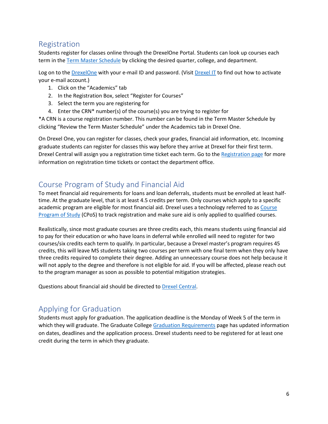## <span id="page-5-0"></span>Registration

Students register for classes online through the DrexelOne Portal. Students can look up courses each term in th[e Term Master Schedule](http://termmasterschedule.drexel.edu/webtms_du/app?page=Home&service=page) by clicking the desired quarter, college, and department.

Log on to th[e DrexelOne](http://one.drexel.edu/) with your e-mail ID and password. (Visi[t Drexel IT](http://www.drexel.edu/it) to find out how to activate your e-mail account.)

- 1. Click on the "Academics" tab
- 2. In the Registration Box, select "Register for Courses"
- 3. Select the term you are registering for
- 4. Enter the CRN\* number(s) of the course(s) you are trying to register for

\*A CRN is a course registration number. This number can be found in the Term Master Schedule by clicking "Review the Term Master Schedule" under the Academics tab in Drexel One.

On Drexel One, you can register for classes, check your grades, financial aid information, etc. Incoming graduate students can register for classes this way before they arrive at Drexel for their first term. Drexel Central will assign you a registration time ticket each term. Go to the [Registration page](http://drexel.edu/drexelcentral/courses/registration/registration_timetickets/) for more information on registration time tickets or contact the department office.

## <span id="page-5-1"></span>Course Program of Study and Financial Aid

To meet financial aid requirements for loans and loan deferrals, students must be enrolled at least halftime. At the graduate level, that is at least 4.5 credits per term. Only courses which apply to a specific academic program are eligible for most financial aid. Drexel uses a technology referred to as Course [Program of Study](https://drexel.edu/drexelcentral/registration/enrollment/course-plan-of-study/) (CPoS) to track registration and make sure aid is only applied to qualified courses.

Realistically, since most graduate courses are three credits each, this means students using financial aid to pay for their education or who have loans in deferral while enrolled will need to register for two courses/six credits each term to qualify. In particular, because a Drexel master's program requires 45 credits, this will leave MS students taking two courses per term with one final term when they only have three credits required to complete their degree. Adding an unnecessary course does not help because it will not apply to the degree and therefore is not eligible for aid. If you will be affected, please reach out to the program manager as soon as possible to potential mitigation strategies.

Questions about financial aid should be directed t[o Drexel Central.](https://drexel.edu/drexelcentral/)

## <span id="page-5-2"></span>Applying for Graduation

Students must apply for graduation. The application deadline is the Monday of Week 5 of the term in which they will graduate. The Graduate College [Graduation Requirements](https://drexel.edu/graduatecollege/news-events/graduation/) page has updated information on dates, deadlines and the application process. Drexel students need to be registered for at least one credit during the term in which they graduate.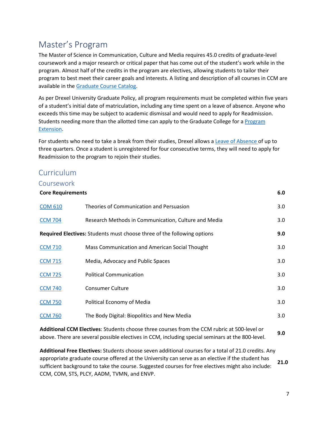# <span id="page-6-0"></span>Master's Program

The Master of Science in Communication, Culture and Media requires 45.0 credits of graduate-level coursework and a major research or critical paper that has come out of the student's work while in the program. Almost half of the credits in the program are electives, allowing students to tailor their program to best meet their career goals and interests. A listing and description of all courses in CCM are available in the [Graduate Course Catalog.](http://catalog.drexel.edu/coursedescriptions/quarter/grad/ccm/)

As per Drexel University Graduate Policy, all program requirements must be completed within five years of a student's initial date of matriculation, including any time spent on a leave of absence. Anyone who exceeds this time may be subject to academic dismissal and would need to apply for Readmission. Students needing more than the allotted time can apply to the Graduate College for a [Program](https://drexel.edu/graduatecollege/forms-policies/policies-procedures-guidelines/time-to-completion/)  [Extension.](https://drexel.edu/graduatecollege/forms-policies/policies-procedures-guidelines/time-to-completion/)

For students who need to take a break from their studies, Drexel allows a [Leave of Absence](https://drexel.edu/graduatecollege/forms-policies/policies-procedures-guidelines/leave-of-absence/) of up to three quarters. Once a student is unregistered for four consecutive terms, they will need to apply for Readmission to the program to rejoin their studies.

## <span id="page-6-1"></span>Curriculum

#### <span id="page-6-2"></span>Coursework

| <b>Core Requirements</b> |                                                                                | 6.0              |
|--------------------------|--------------------------------------------------------------------------------|------------------|
| <b>COM 610</b>           | Theories of Communication and Persuasion                                       | 3.0              |
| <b>CCM 704</b>           | Research Methods in Communication, Culture and Media                           | 3.0 <sub>2</sub> |
|                          | <b>Required Electives:</b> Students must choose three of the following options | 9.0              |
| <b>CCM 710</b>           | Mass Communication and American Social Thought                                 | 3.0 <sub>2</sub> |
| <b>CCM 715</b>           | Media, Advocacy and Public Spaces                                              | 3.0 <sub>2</sub> |
| <b>CCM 725</b>           | <b>Political Communication</b>                                                 | 3.0 <sub>2</sub> |
| <b>CCM 740</b>           | <b>Consumer Culture</b>                                                        | 3.0 <sub>2</sub> |
| <b>CCM 750</b>           | Political Economy of Media                                                     | 3.0 <sub>2</sub> |
| <b>CCM 760</b>           | The Body Digital: Biopolitics and New Media                                    | 3.0 <sub>2</sub> |
|                          |                                                                                |                  |

**Additional CCM Electives**: Students choose three courses from the CCM rubric at 500-level or above. There are several possible electives in CCM, including special seminars at the 800-level. **9.0**

**Additional Free Electives:** Students choose seven additional courses for a total of 21.0 credits. Any appropriate graduate course offered at the University can serve as an elective if the student has sufficient background to take the course. Suggested courses for free electives might also include: CCM, COM, STS, PLCY, AADM, TVMN, and ENVP. **21.0**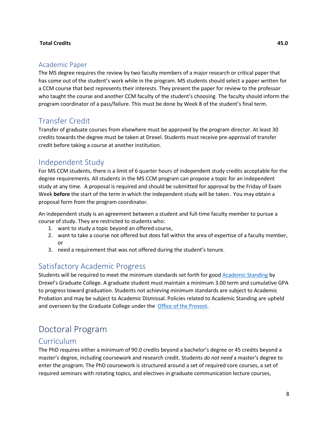#### **Total Credits 45.0**

#### <span id="page-7-0"></span>Academic Paper

The MS degree requires the review by two faculty members of a major research or critical paper that has come out of the student's work while in the program. MS students should select a paper written for a CCM course that best represents their interests. They present the paper for review to the professor who taught the course and another CCM faculty of the student's choosing. The faculty should inform the program coordinator of a pass/failure. This must be done by Week 8 of the student's final term.

## <span id="page-7-1"></span>Transfer Credit

Transfer of graduate courses from elsewhere must be approved by the program director. At least 30 credits towards the degree must be taken at Drexel. Students must receive pre-approval of transfer credit before taking a course at another institution.

## <span id="page-7-2"></span>Independent Study

For MS CCM students, there is a limit of 6 quarter hours of independent study credits acceptable for the degree requirements. All students in the MS CCM program can propose a topic for an independent study at any time. A proposal is required and should be submitted for approval by the Friday of Exam Week **before** the start of the term in which the independent study will be taken. You may obtain a proposal form from the program coordinator.

An independent study is an agreement between a student and full-time faculty member to pursue a course of study. They are restricted to students who:

- 1. want to study a topic beyond an offered course,
- 2. want to take a course not offered but does fall within the area of expertise of a faculty member, or
- 3. need a requirement that was not offered during the student's tenure.

## <span id="page-7-3"></span>Satisfactory Academic Progress

Students will be required to meet the minimum standards set forth for good [Academic Standing](https://drexel.edu/graduatecollege/forms-policies/policies-procedures-guidelines/academic-standing/) by Drexel's Graduate College. A graduate student must maintain a minimum 3.00 term and cumulative GPA to progress toward graduation. Students not achieving minimum standards are subject to Academic Probation and may be subject to Academic Dismissal. Policies related to Academic Standing are upheld and overseen by the Graduate College under the [Office of the Provost.](http://www.drexel.edu/provost)

# <span id="page-7-4"></span>Doctoral Program

## <span id="page-7-5"></span>Curriculum

The PhD requires either a minimum of 90.0 credits beyond a bachelor's degree or 45 credits beyond a master's degree, including coursework and research credit. Students *do not need* a master's degree to enter the program. The PhD coursework is structured around a set of required core courses, a set of required seminars with rotating topics, and electives in graduate communication lecture courses,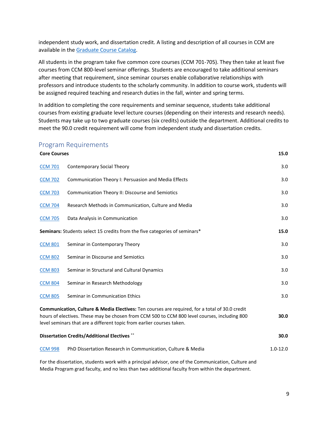independent study work, and dissertation credit. A listing and description of all courses in CCM are available in the [Graduate Course Catalog.](http://catalog.drexel.edu/coursedescriptions/quarter/grad/ccm/)

All students in the program take five common core courses (CCM 701-705). They then take at least five courses from CCM 800-level seminar offerings. Students are encouraged to take additional seminars after meeting that requirement, since seminar courses enable collaborative relationships with professors and introduce students to the scholarly community. In addition to course work, students will be assigned required teaching and research duties in the fall, winter and spring terms.

In addition to completing the core requirements and seminar sequence, students take additional courses from existing graduate level lecture courses (depending on their interests and research needs). Students may take up to two graduate courses (six credits) outside the department. Additional credits to meet the 90.0 credit requirement will come from independent study and dissertation credits.

#### <span id="page-8-0"></span>Program Requirements

| <b>Core Courses</b>                                                                                                                                                                                                                                                     |                                                                            | 15.0         |
|-------------------------------------------------------------------------------------------------------------------------------------------------------------------------------------------------------------------------------------------------------------------------|----------------------------------------------------------------------------|--------------|
| <b>CCM 701</b>                                                                                                                                                                                                                                                          | Contemporary Social Theory                                                 | 3.0          |
| <b>CCM 702</b>                                                                                                                                                                                                                                                          | Communication Theory I: Persuasion and Media Effects                       | 3.0          |
| <b>CCM 703</b>                                                                                                                                                                                                                                                          | Communication Theory II: Discourse and Semiotics                           | 3.0          |
| <b>CCM 704</b>                                                                                                                                                                                                                                                          | Research Methods in Communication, Culture and Media                       | 3.0          |
| <b>CCM 705</b>                                                                                                                                                                                                                                                          | Data Analysis in Communication                                             | 3.0          |
|                                                                                                                                                                                                                                                                         | Seminars: Students select 15 credits from the five categories of seminars* | 15.0         |
| <b>CCM 801</b>                                                                                                                                                                                                                                                          | Seminar in Contemporary Theory                                             | 3.0          |
| <b>CCM 802</b>                                                                                                                                                                                                                                                          | Seminar in Discourse and Semiotics                                         | 3.0          |
| <b>CCM 803</b>                                                                                                                                                                                                                                                          | Seminar in Structural and Cultural Dynamics                                | 3.0          |
| <b>CCM 804</b>                                                                                                                                                                                                                                                          | Seminar in Research Methodology                                            | 3.0          |
| <b>CCM 805</b>                                                                                                                                                                                                                                                          | Seminar in Communication Ethics                                            | 3.0          |
| Communication, Culture & Media Electives: Ten courses are required, for a total of 30.0 credit<br>hours of electives. These may be chosen from CCM 500 to CCM 800 level courses, including 800<br>level seminars that are a different topic from earlier courses taken. |                                                                            | 30.0         |
|                                                                                                                                                                                                                                                                         | <b>Dissertation Credits/Additional Electives **</b>                        | 30.0         |
| <b>CCM 998</b>                                                                                                                                                                                                                                                          | PhD Dissertation Research in Communication, Culture & Media                | $1.0 - 12.0$ |

For the dissertation, students work with a principal advisor, one of the Communication, Culture and Media Program grad faculty, and no less than two additional faculty from within the department.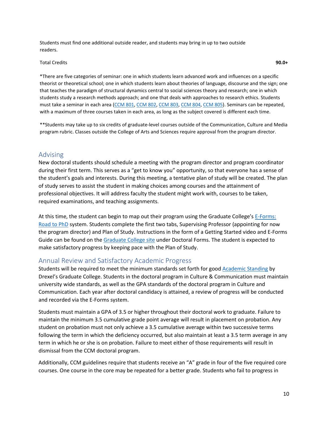Students must find one additional outside reader, and students may bring in up to two outside readers.

#### Total Credits **90.0+**

\*There are five categories of seminar: one in which students learn advanced work and influences on a specific theorist or theoretical school; one in which students learn about theories of language, discourse and the sign; one that teaches the paradigm of structural dynamics central to social sciences theory and research; one in which students study a research methods approach; and one that deals with approaches to research ethics. Students must take a seminar in each area [\(CCM](http://catalog.drexel.edu/search/?P=CCM%20801) 801, [CCM](http://catalog.drexel.edu/search/?P=CCM%20804) 802[, CCM](http://catalog.drexel.edu/search/?P=CCM%20805) 803, CCM 804, CCM 805). Seminars can be repeated, with a maximum of three courses taken in each area, as long as the subject covered is different each time.

\*\*Students may take up to six credits of graduate-level courses outside of the Communication, Culture and Media program rubric. Classes outside the College of Arts and Sciences require approval from the program director.

#### <span id="page-9-0"></span>Advising

New doctoral students should schedule a meeting with the program director and program coordinator during their first term. This serves as a "get to know you" opportunity, so that everyone has a sense of the student's goals and interests. During this meeting, a tentative plan of study will be created. The plan of study serves to assist the student in making choices among courses and the attainment of professional objectives. It will address faculty the student might work with, courses to be taken, required examinations, and teaching assignments.

At this time, the student can begin to map out their program using the Graduate College's E-Forms: [Road to PhD](https://gradcollege.irt.drexel.edu/) system. Students complete the first two tabs, Supervising Professor (appointing for now the program director) and Plan of Study. Instructions in the form of a Getting Started video and E-Forms Guide can be found on th[e Graduate College site](https://drexel.edu/graduatecollege/forms-policies/forms/) under Doctoral Forms. The student is expected to make satisfactory progress by keeping pace with the Plan of Study.

#### <span id="page-9-1"></span>Annual Review and Satisfactory Academic Progress

Students will be required to meet the minimum standards set forth for good [Academic Standing](https://drexel.edu/graduatecollege/forms-policies/policies-procedures-guidelines/academic-standing/) by Drexel's Graduate College. Students in the doctoral program in Culture & Communication must maintain university wide standards, as well as the GPA standards of the doctoral program in Culture and Communication. Each year after doctoral candidacy is attained, a review of progress will be conducted and recorded via the E-Forms system.

Students must maintain a GPA of 3.5 or higher throughout their doctoral work to graduate. Failure to maintain the minimum 3.5 cumulative grade point average will result in placement on probation. Any student on probation must not only achieve a 3.5 cumulative average within two successive terms following the term in which the deficiency occurred, but also maintain at least a 3.5 term average in any term in which he or she is on probation. Failure to meet either of those requirements will result in dismissal from the CCM doctoral program.

Additionally, CCM guidelines require that students receive an "A" grade in four of the five required core courses. One course in the core may be repeated for a better grade. Students who fail to progress in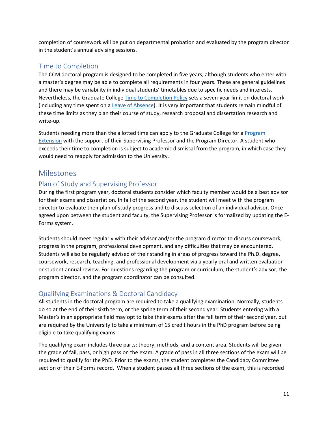completion of coursework will be put on departmental probation and evaluated by the program director in the student's annual advising sessions.

## <span id="page-10-0"></span>Time to Completion

The CCM doctoral program is designed to be completed in five years, although students who enter with a master's degree may be able to complete all requirements in four years. These are general guidelines and there may be variability in individual students' timetables due to specific needs and interests. Nevertheless, the Graduate College [Time to Completion Policy](https://drexel.edu/graduatecollege/forms-policies/policies-procedures-guidelines/time-to-completion/) sets a seven-year limit on doctoral work (including any time spent on a [Leave of Absence\)](https://drexel.edu/graduatecollege/forms-policies/policies-procedures-guidelines/leave-of-absence/). It is very important that students remain mindful of these time limits as they plan their course of study, research proposal and dissertation research and write-up.

Students needing more than the allotted time can apply to the Graduate College for a [Program](https://drexel.edu/graduatecollege/forms-policies/policies-procedures-guidelines/time-to-completion/)  [Extension](https://drexel.edu/graduatecollege/forms-policies/policies-procedures-guidelines/time-to-completion/) with the support of their Supervising Professor and the Program Director. A student who exceeds their time to completion is subject to academic dismissal from the program, in which case they would need to reapply for admission to the University.

## <span id="page-10-1"></span>Milestones

## <span id="page-10-2"></span>Plan of Study and Supervising Professor

During the first program year, doctoral students consider which faculty member would be a best advisor for their exams and dissertation. In fall of the second year, the student will meet with the program director to evaluate their plan of study progress and to discuss selection of an individual advisor. Once agreed upon between the student and faculty, the Supervising Professor is formalized by updating the E-Forms system.

Students should meet regularly with their advisor and/or the program director to discuss coursework, progress in the program, professional development, and any difficulties that may be encountered. Students will also be regularly advised of their standing in areas of progress toward the Ph.D. degree, coursework, research, teaching, and professional development via a yearly oral and written evaluation or student annual review. For questions regarding the program or curriculum, the student's advisor, the program director, and the program coordinator can be consulted.

## <span id="page-10-3"></span>Qualifying Examinations & Doctoral Candidacy

All students in the doctoral program are required to take a qualifying examination. Normally, students do so at the end of their sixth term, or the spring term of their second year. Students entering with a Master's in an appropriate field may opt to take their exams after the fall term of their second year, but are required by the University to take a minimum of 15 credit hours in the PhD program before being eligible to take qualifying exams.

The qualifying exam includes three parts: theory, methods, and a content area. Students will be given the grade of fail, pass, or high pass on the exam. A grade of pass in all three sections of the exam will be required to qualify for the PhD. Prior to the exams, the student completes the Candidacy Committee section of their E-Forms record. When a student passes all three sections of the exam, this is recorded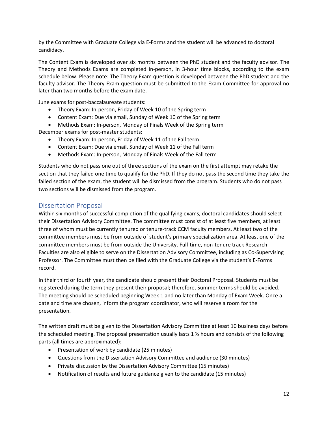by the Committee with Graduate College via E-Forms and the student will be advanced to doctoral candidacy.

The Content Exam is developed over six months between the PhD student and the faculty advisor. The Theory and Methods Exams are completed in-person, in 3-hour time blocks, according to the exam schedule below. Please note: The Theory Exam question is developed between the PhD student and the faculty advisor. The Theory Exam question must be submitted to the Exam Committee for approval no later than two months before the exam date.

June exams for post-baccalaureate students:

- Theory Exam: In-person, Friday of Week 10 of the Spring term
- Content Exam: Due via email, Sunday of Week 10 of the Spring term
- Methods Exam: In-person, Monday of Finals Week of the Spring term

December exams for post-master students:

- Theory Exam: In-person, Friday of Week 11 of the Fall term
- Content Exam: Due via email, Sunday of Week 11 of the Fall term
- Methods Exam: In-person, Monday of Finals Week of the Fall term

Students who do not pass one out of three sections of the exam on the first attempt may retake the section that they failed one time to qualify for the PhD. If they do not pass the second time they take the failed section of the exam, the student will be dismissed from the program. Students who do not pass two sections will be dismissed from the program.

#### <span id="page-11-0"></span>Dissertation Proposal

Within six months of successful completion of the qualifying exams, doctoral candidates should select their Dissertation Advisory Committee. The committee must consist of at least five members, at least three of whom must be currently tenured or tenure-track CCM faculty members. At least two of the committee members must be from outside of student's primary specialization area. At least one of the committee members must be from outside the University. Full-time, non-tenure track Research Faculties are also eligible to serve on the Dissertation Advisory Committee, including as Co-Supervising Professor. The Committee must then be filed with the Graduate College via the student's E-Forms record.

In their third or fourth year, the candidate should present their Doctoral Proposal. Students must be registered during the term they present their proposal; therefore, Summer terms should be avoided. The meeting should be scheduled beginning Week 1 and no later than Monday of Exam Week. Once a date and time are chosen, inform the program coordinator, who will reserve a room for the presentation.

The written draft must be given to the Dissertation Advisory Committee at least 10 business days before the scheduled meeting. The proposal presentation usually lasts 1  $\frac{1}{2}$  hours and consists of the following parts (all times are approximated):

- Presentation of work by candidate (25 minutes)
- Questions from the Dissertation Advisory Committee and audience (30 minutes)
- Private discussion by the Dissertation Advisory Committee (15 minutes)
- Notification of results and future guidance given to the candidate (15 minutes)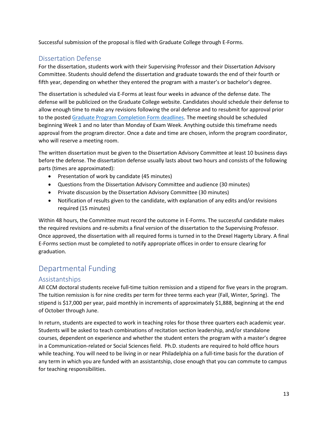Successful submission of the proposal is filed with Graduate College through E-Forms.

#### <span id="page-12-0"></span>Dissertation Defense

For the dissertation, students work with their Supervising Professor and their Dissertation Advisory Committee. Students should defend the dissertation and graduate towards the end of their fourth or fifth year, depending on whether they entered the program with a master's or bachelor's degree.

The dissertation is scheduled via E-Forms at least four weeks in advance of the defense date. The defense will be publicized on the Graduate College website. Candidates should schedule their defense to allow enough time to make any revisions following the oral defense and to resubmit for approval prior to the poste[d Graduate Program Completion Form deadlines.](https://drexel.edu/graduatecollege/news-events/graduation/) The meeting should be scheduled beginning Week 1 and no later than Monday of Exam Week. Anything outside this timeframe needs approval from the program director. Once a date and time are chosen, inform the program coordinator, who will reserve a meeting room.

The written dissertation must be given to the Dissertation Advisory Committee at least 10 business days before the defense. The dissertation defense usually lasts about two hours and consists of the following parts (times are approximated):

- Presentation of work by candidate (45 minutes)
- Questions from the Dissertation Advisory Committee and audience (30 minutes)
- Private discussion by the Dissertation Advisory Committee (30 minutes)
- Notification of results given to the candidate, with explanation of any edits and/or revisions required (15 minutes)

Within 48 hours, the Committee must record the outcome in E-Forms. The successful candidate makes the required revisions and re-submits a final version of the dissertation to the Supervising Professor. Once approved, the dissertation with all required forms is turned in to the Drexel Hagerty Library. A final E-Forms section must be completed to notify appropriate offices in order to ensure clearing for graduation.

## <span id="page-12-1"></span>Departmental Funding

#### <span id="page-12-2"></span>Assistantships

All CCM doctoral students receive full-time tuition remission and a stipend for five years in the program. The tuition remission is for nine credits per term for three terms each year (Fall, Winter, Spring). The stipend is \$17,000 per year, paid monthly in increments of approximately \$1,888, beginning at the end of October through June.

In return, students are expected to work in teaching roles for those three quarters each academic year. Students will be asked to teach combinations of recitation section leadership, and/or standalone courses, dependent on experience and whether the student enters the program with a master's degree in a Communication-related or Social Sciences field. Ph.D. students are required to hold office hours while teaching. You will need to be living in or near Philadelphia on a full-time basis for the duration of any term in which you are funded with an assistantship, close enough that you can commute to campus for teaching responsibilities.